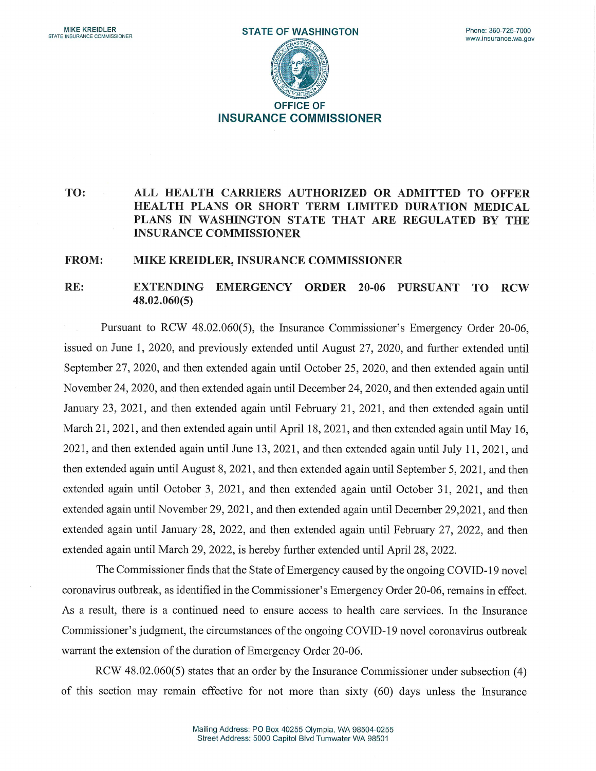

## TO: ALL HEALTH CARRIERS AUTHORIZED OR ADMITTED TO OFFER HEALTH PLANS OR SHORT TERM LIMITED DURATION MEDICAL PLANS IN WASHINGTON STATE THAT ARE REGULATED BY THE INSURANCE COMMISSIONER

## FROM: MIKE KREIDLER, INSURANCE COMMISSIONER

## RE: EXTENDING EMERGENCY ORDER 20-06 PURSUANT TO RCW 48.02.060(5)

Pursuant to RCW 48.02.060(5), the Insurance Commissioner's Emergency Order 20-06, issued on June 1, 2020, and previously extended until August 27, 2020, and further extended until September 27, 2020, and then extended again until October 25, 2020, and then extended again until November 24, 2020, and then extended again until December 24, 2020, and then extended again until January 23, 2021, and then extended again until February 21, 2021, and then extended again until March 21, 2021, and then extended again until April 18, 2021, and then extended again until May 16, 2021, and then extended again until June 13, 2021, and then extended again until July 11, 2021, and then extended again until August 8, 2021, and then extended again until September 5, 2021, and then extended again until October 3, 2021, and then extended again until October 31, 2021, and then extended again until November 29, 2021, and then extended again until December 29,2021, and then extended again until January 28, 2022, and then extended again until February 27, 2022, and then extended again until March 29, 2022, is hereby further extended until April 28, 2022.

The Commissioner finds that the State of Emergency caused by the ongoing COVID-19 novel coronavirus outbreak, as identified in the Commissioner's Emergency Order 20-06, remains in effect. As a result, there is a continued need to ensure access to health care services. In the Insurance Commissioner's judgment, the circumstances of the ongoing COVID-19 novel coronavirus outbreak warrant the extension of the duration of Emergency Order 20-06.

RCW 48.02.060(5) states that an order by the Insurance Commissioner under subsection (4) of this section may remain effective for not more than sixty (60) days unless the Insurance